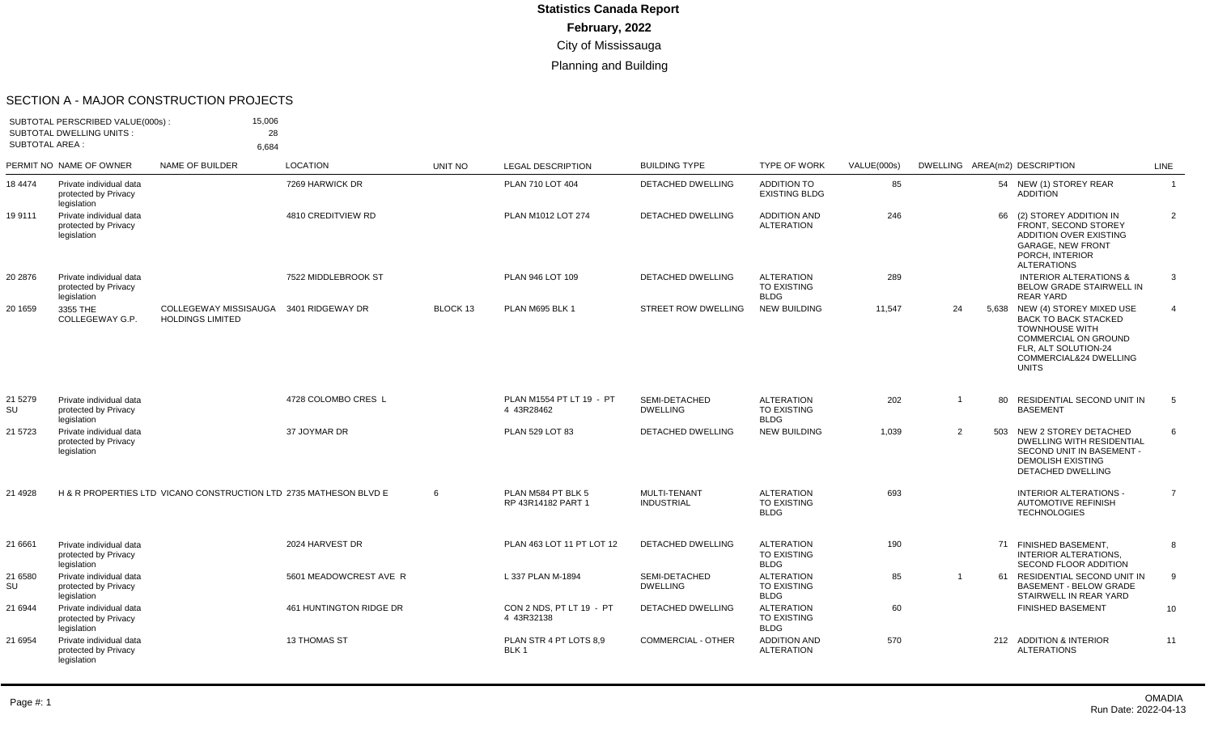#### SECTION A - MAJOR CONSTRUCTION PROJECTS

| SUBTOTAL PERSCRIBED VALUE(000s):<br><b>SUBTOTAL DWELLING UNITS:</b><br><b>SUBTOTAL AREA:</b> |                                                                | 15,006<br>28                                                      |                         |          |                                          |                                          |                                                        |             |                |    |                                                                                                                                                                                         |                |
|----------------------------------------------------------------------------------------------|----------------------------------------------------------------|-------------------------------------------------------------------|-------------------------|----------|------------------------------------------|------------------------------------------|--------------------------------------------------------|-------------|----------------|----|-----------------------------------------------------------------------------------------------------------------------------------------------------------------------------------------|----------------|
|                                                                                              |                                                                | 6,684                                                             |                         |          |                                          |                                          |                                                        |             |                |    |                                                                                                                                                                                         |                |
|                                                                                              | PERMIT NO NAME OF OWNER                                        | NAME OF BUILDER                                                   | <b>LOCATION</b>         | UNIT NO  | <b>LEGAL DESCRIPTION</b>                 | <b>BUILDING TYPE</b>                     | <b>TYPE OF WORK</b>                                    | VALUE(000s) |                |    | DWELLING AREA(m2) DESCRIPTION                                                                                                                                                           | LINE           |
| 18 4474                                                                                      | Private individual data<br>protected by Privacy<br>legislation |                                                                   | 7269 HARWICK DR         |          | PLAN 710 LOT 404                         | DETACHED DWELLING                        | <b>ADDITION TO</b><br><b>EXISTING BLDG</b>             | 85          |                |    | 54 NEW (1) STOREY REAR<br><b>ADDITION</b>                                                                                                                                               | $\overline{1}$ |
| 19 9111                                                                                      | Private individual data<br>protected by Privacy<br>legislation |                                                                   | 4810 CREDITVIEW RD      |          | PLAN M1012 LOT 274                       | <b>DETACHED DWELLING</b>                 | <b>ADDITION AND</b><br><b>ALTERATION</b>               | 246         |                | 66 | (2) STOREY ADDITION IN<br>FRONT, SECOND STOREY<br>ADDITION OVER EXISTING<br><b>GARAGE, NEW FRONT</b><br>PORCH, INTERIOR<br><b>ALTERATIONS</b>                                           | 2              |
| 20 2876                                                                                      | Private individual data<br>protected by Privacy<br>legislation |                                                                   | 7522 MIDDLEBROOK ST     |          | PLAN 946 LOT 109                         | DETACHED DWELLING                        | <b>ALTERATION</b><br><b>TO EXISTING</b><br><b>BLDG</b> | 289         |                |    | <b>INTERIOR ALTERATIONS &amp;</b><br><b>BELOW GRADE STAIRWELL IN</b><br><b>REAR YARD</b>                                                                                                | 3              |
| 20 1659                                                                                      | 3355 THE<br>COLLEGEWAY G.P.                                    | <b>COLLEGEWAY MISSISAUGA</b><br><b>HOLDINGS LIMITED</b>           | 3401 RIDGEWAY DR        | BLOCK 13 | PLAN M695 BLK 1                          | <b>STREET ROW DWELLING</b>               | <b>NEW BUILDING</b>                                    | 11,547      | 24             |    | 5,638 NEW (4) STOREY MIXED USE<br><b>BACK TO BACK STACKED</b><br><b>TOWNHOUSE WITH</b><br><b>COMMERCIAL ON GROUND</b><br>FLR, ALT SOLUTION-24<br>COMMERCIAL&24 DWELLING<br><b>UNITS</b> | $\overline{4}$ |
| 21 5 27 9<br>SU                                                                              | Private individual data<br>protected by Privacy<br>legislation |                                                                   | 4728 COLOMBO CRES L     |          | PLAN M1554 PT LT 19 - PT<br>4 43R28462   | SEMI-DETACHED<br><b>DWELLING</b>         | <b>ALTERATION</b><br>TO EXISTING<br><b>BLDG</b>        | 202         | $\mathbf{1}$   | 80 | RESIDENTIAL SECOND UNIT IN<br><b>BASEMENT</b>                                                                                                                                           | 5              |
| 21 5723                                                                                      | Private individual data<br>protected by Privacy<br>legislation |                                                                   | 37 JOYMAR DR            |          | PLAN 529 LOT 83                          | DETACHED DWELLING                        | <b>NEW BUILDING</b>                                    | 1,039       | $\overline{2}$ |    | 503 NEW 2 STOREY DETACHED<br><b>DWELLING WITH RESIDENTIAL</b><br>SECOND UNIT IN BASEMENT -<br><b>DEMOLISH EXISTING</b><br><b>DETACHED DWELLING</b>                                      | 6              |
| 21 4928                                                                                      |                                                                | H & R PROPERTIES LTD VICANO CONSTRUCTION LTD 2735 MATHESON BLVD E |                         | 6        | PLAN M584 PT BLK 5<br>RP 43R14182 PART 1 | <b>MULTI-TENANT</b><br><b>INDUSTRIAL</b> | <b>ALTERATION</b><br><b>TO EXISTING</b><br><b>BLDG</b> | 693         |                |    | <b>INTERIOR ALTERATIONS -</b><br><b>AUTOMOTIVE REFINISH</b><br><b>TECHNOLOGIES</b>                                                                                                      | $\overline{7}$ |
| 21 6661                                                                                      | Private individual data<br>protected by Privacy<br>legislation |                                                                   | 2024 HARVEST DR         |          | PLAN 463 LOT 11 PT LOT 12                | <b>DETACHED DWELLING</b>                 | <b>ALTERATION</b><br><b>TO EXISTING</b><br><b>BLDG</b> | 190         |                |    | 71 FINISHED BASEMENT.<br><b>INTERIOR ALTERATIONS,</b><br>SECOND FLOOR ADDITION                                                                                                          | 8              |
| 21 6580<br>SU                                                                                | Private individual data<br>protected by Privacy<br>legislation |                                                                   | 5601 MEADOWCREST AVE R  |          | L 337 PLAN M-1894                        | SEMI-DETACHED<br><b>DWELLING</b>         | <b>ALTERATION</b><br><b>TO EXISTING</b><br><b>BLDG</b> | 85          | $\mathbf 1$    | 61 | RESIDENTIAL SECOND UNIT IN<br><b>BASEMENT - BELOW GRADE</b><br>STAIRWELL IN REAR YARD                                                                                                   | 9              |
| 21 6944                                                                                      | Private individual data<br>protected by Privacy<br>legislation |                                                                   | 461 HUNTINGTON RIDGE DR |          | CON 2 NDS, PT LT 19 - PT<br>4 43R32138   | DETACHED DWELLING                        | <b>ALTERATION</b><br><b>TO EXISTING</b><br><b>BLDG</b> | 60          |                |    | <b>FINISHED BASEMENT</b>                                                                                                                                                                | 10             |
| 21 6954                                                                                      | Private individual data<br>protected by Privacy<br>legislation |                                                                   | 13 THOMAS ST            |          | PLAN STR 4 PT LOTS 8,9<br>BLK 1          | <b>COMMERCIAL - OTHER</b>                | <b>ADDITION AND</b><br><b>ALTERATION</b>               | 570         |                |    | 212 ADDITION & INTERIOR<br><b>ALTERATIONS</b>                                                                                                                                           | 11             |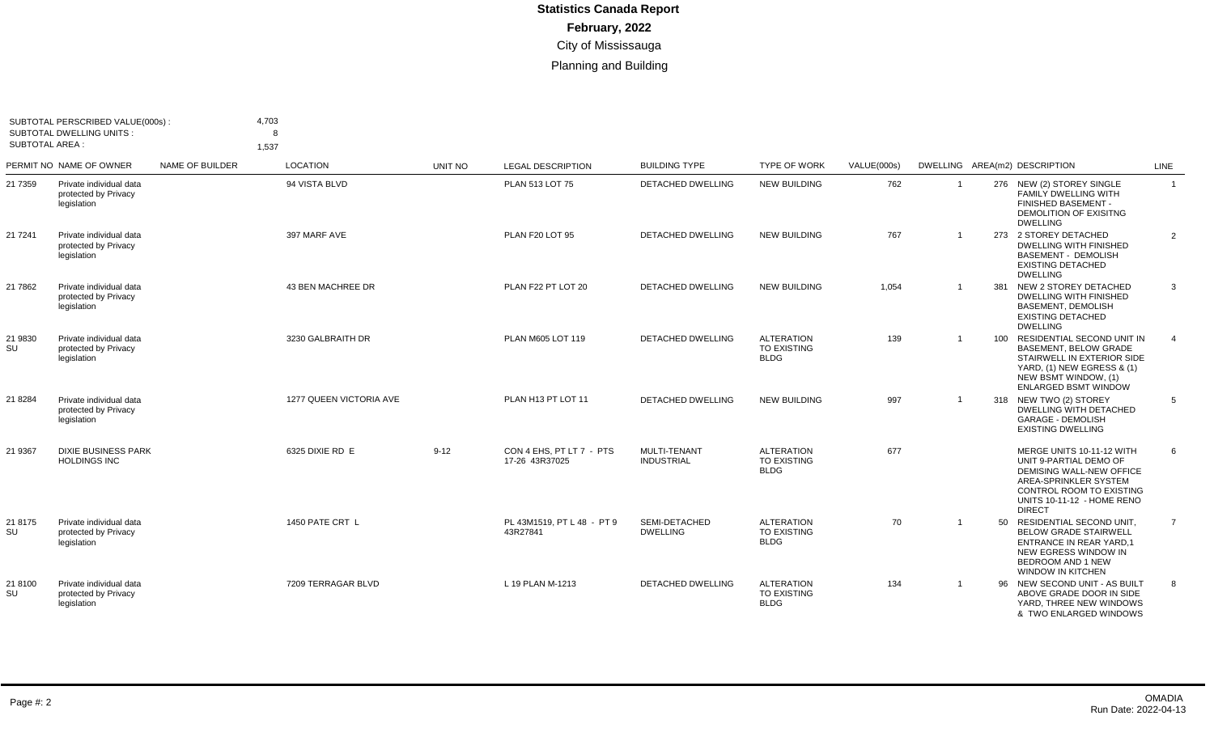| <b>SUBTOTAL AREA:</b> | SUBTOTAL PERSCRIBED VALUE(000s):<br><b>SUBTOTAL DWELLING UNITS:</b> |                 | 4,703<br>R<br>1,537     |          |                                            |                                   |                                                        |             |                |     |                                                                                                                                                                                            |                |
|-----------------------|---------------------------------------------------------------------|-----------------|-------------------------|----------|--------------------------------------------|-----------------------------------|--------------------------------------------------------|-------------|----------------|-----|--------------------------------------------------------------------------------------------------------------------------------------------------------------------------------------------|----------------|
|                       | PERMIT NO NAME OF OWNER                                             | NAME OF BUILDER | <b>LOCATION</b>         | UNIT NO  | <b>LEGAL DESCRIPTION</b>                   | <b>BUILDING TYPE</b>              | <b>TYPE OF WORK</b>                                    | VALUE(000s) |                |     | DWELLING AREA(m2) DESCRIPTION                                                                                                                                                              | LINE           |
| 21 7359               | Private individual data<br>protected by Privacy<br>legislation      |                 | 94 VISTA BLVD           |          | PLAN 513 LOT 75                            | <b>DETACHED DWELLING</b>          | <b>NEW BUILDING</b>                                    | 762         | $\overline{1}$ |     | 276 NEW (2) STOREY SINGLE<br><b>FAMILY DWELLING WITH</b><br>FINISHED BASEMENT -<br>DEMOLITION OF EXISITNG<br><b>DWELLING</b>                                                               | $\overline{1}$ |
| 21 7 241              | Private individual data<br>protected by Privacy<br>legislation      |                 | 397 MARF AVE            |          | PLAN F20 LOT 95                            | <b>DETACHED DWELLING</b>          | <b>NEW BUILDING</b>                                    | 767         |                |     | 273 2 STOREY DETACHED<br><b>DWELLING WITH FINISHED</b><br><b>BASEMENT - DEMOLISH</b><br><b>EXISTING DETACHED</b><br><b>DWELLING</b>                                                        | 2              |
| 21 7862               | Private individual data<br>protected by Privacy<br>legislation      |                 | 43 BEN MACHREE DR       |          | PLAN F22 PT LOT 20                         | <b>DETACHED DWELLING</b>          | <b>NEW BUILDING</b>                                    | 1,054       |                | 381 | NEW 2 STOREY DETACHED<br><b>DWELLING WITH FINISHED</b><br><b>BASEMENT, DEMOLISH</b><br><b>EXISTING DETACHED</b><br><b>DWELLING</b>                                                         | 3              |
| 21 9830<br>SU         | Private individual data<br>protected by Privacy<br>legislation      |                 | 3230 GALBRAITH DR       |          | PLAN M605 LOT 119                          | <b>DETACHED DWELLING</b>          | <b>ALTERATION</b><br>TO EXISTING<br><b>BLDG</b>        | 139         |                |     | 100 RESIDENTIAL SECOND UNIT IN<br><b>BASEMENT, BELOW GRADE</b><br>STAIRWELL IN EXTERIOR SIDE<br>YARD, (1) NEW EGRESS & (1)<br>NEW BSMT WINDOW, (1)<br><b>ENLARGED BSMT WINDOW</b>          | $\overline{4}$ |
| 21 8284               | Private individual data<br>protected by Privacy<br>legislation      |                 | 1277 QUEEN VICTORIA AVE |          | PLAN H13 PT LOT 11                         | <b>DETACHED DWELLING</b>          | <b>NEW BUILDING</b>                                    | 997         |                |     | 318 NEW TWO (2) STOREY<br><b>DWELLING WITH DETACHED</b><br><b>GARAGE - DEMOLISH</b><br><b>EXISTING DWELLING</b>                                                                            | 5              |
| 21 9367               | <b>DIXIE BUSINESS PARK</b><br><b>HOLDINGS INC</b>                   |                 | 6325 DIXIE RD E         | $9 - 12$ | CON 4 EHS, PT LT 7 - PTS<br>17-26 43R37025 | MULTI-TENANT<br><b>INDUSTRIAL</b> | <b>ALTERATION</b><br><b>TO EXISTING</b><br><b>BLDG</b> | 677         |                |     | MERGE UNITS 10-11-12 WITH<br>UNIT 9-PARTIAL DEMO OF<br><b>DEMISING WALL-NEW OFFICE</b><br>AREA-SPRINKLER SYSTEM<br>CONTROL ROOM TO EXISTING<br>UNITS 10-11-12 - HOME RENO<br><b>DIRECT</b> | 6              |
| 21 8175<br>SU         | Private individual data<br>protected by Privacy<br>legislation      |                 | 1450 PATE CRT L         |          | PL 43M1519, PT L 48 - PT 9<br>43R27841     | SEMI-DETACHED<br><b>DWELLING</b>  | <b>ALTERATION</b><br>TO EXISTING<br><b>BLDG</b>        | 70          |                | 50  | RESIDENTIAL SECOND UNIT,<br><b>BELOW GRADE STAIRWELL</b><br><b>ENTRANCE IN REAR YARD.1</b><br>NEW EGRESS WINDOW IN<br><b>BEDROOM AND 1 NEW</b><br>WINDOW IN KITCHEN                        | $\overline{7}$ |
| 21 8100<br>SU         | Private individual data<br>protected by Privacy<br>legislation      |                 | 7209 TERRAGAR BLVD      |          | L 19 PLAN M-1213                           | <b>DETACHED DWELLING</b>          | <b>ALTERATION</b><br><b>TO EXISTING</b><br><b>BLDG</b> | 134         |                |     | 96 NEW SECOND UNIT - AS BUILT<br>ABOVE GRADE DOOR IN SIDE<br>YARD. THREE NEW WINDOWS<br>& TWO ENLARGED WINDOWS                                                                             | 8              |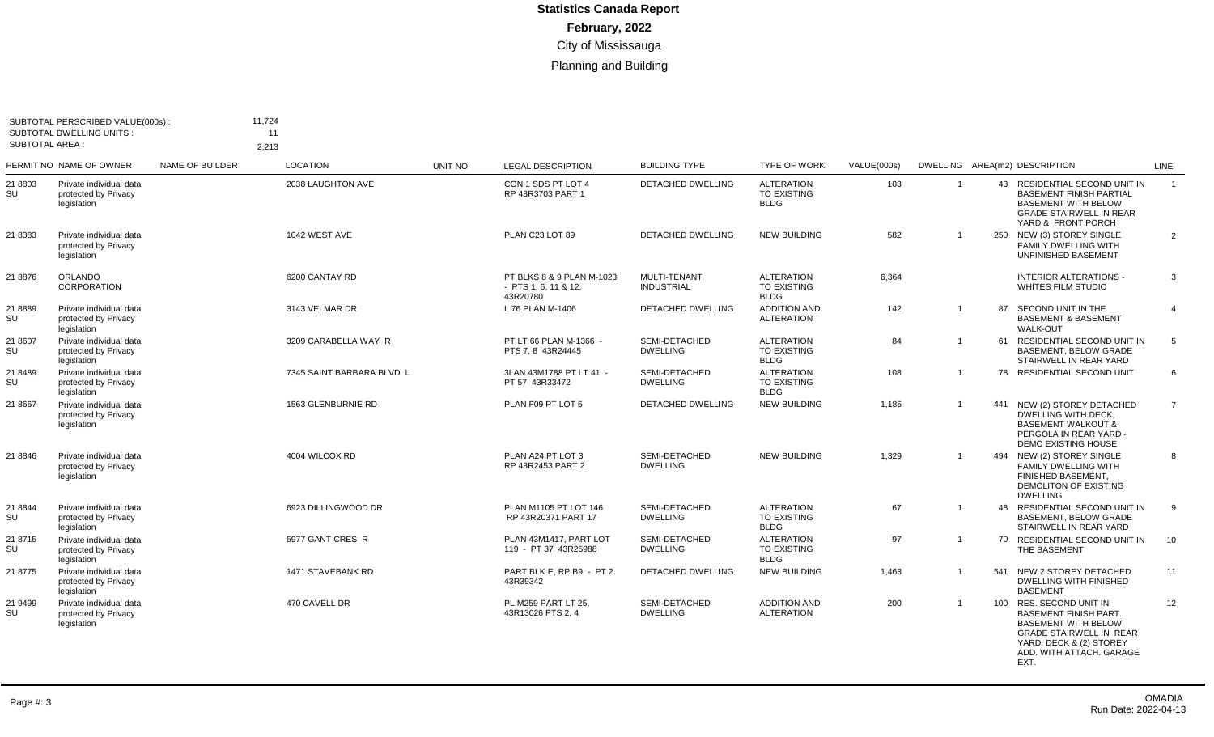| <b>SUBTOTAL AREA:</b> | SUBTOTAL PERSCRIBED VALUE(000s):<br>SUBTOTAL DWELLING UNITS:   |                 | 11,724<br>11<br>2,213     |                |                                                                 |                                   |                                                        |             |                |     |                                                                                                                                                                                        |                |
|-----------------------|----------------------------------------------------------------|-----------------|---------------------------|----------------|-----------------------------------------------------------------|-----------------------------------|--------------------------------------------------------|-------------|----------------|-----|----------------------------------------------------------------------------------------------------------------------------------------------------------------------------------------|----------------|
|                       | PERMIT NO NAME OF OWNER                                        | NAME OF BUILDER | <b>LOCATION</b>           | <b>UNIT NO</b> | <b>LEGAL DESCRIPTION</b>                                        | <b>BUILDING TYPE</b>              | <b>TYPE OF WORK</b>                                    | VALUE(000s) |                |     | DWELLING AREA(m2) DESCRIPTION                                                                                                                                                          | LINE           |
| 21 8803<br>SU         | Private individual data<br>protected by Privacy<br>legislation |                 | 2038 LAUGHTON AVE         |                | CON 1 SDS PT LOT 4<br>RP 43R3703 PART 1                         | <b>DETACHED DWELLING</b>          | <b>ALTERATION</b><br>TO EXISTING<br><b>BLDG</b>        | 103         | $\overline{1}$ |     | 43 RESIDENTIAL SECOND UNIT IN<br><b>BASEMENT FINISH PARTIAL</b><br><b>BASEMENT WITH BELOW</b><br><b>GRADE STAIRWELL IN REAR</b><br>YARD & FRONT PORCH                                  | $\overline{1}$ |
| 21 8383               | Private individual data<br>protected by Privacy<br>legislation |                 | 1042 WEST AVE             |                | PLAN C23 LOT 89                                                 | <b>DETACHED DWELLING</b>          | <b>NEW BUILDING</b>                                    | 582         |                |     | 250 NEW (3) STOREY SINGLE<br>FAMILY DWELLING WITH<br>UNFINISHED BASEMENT                                                                                                               | $\overline{2}$ |
| 21 8876               | <b>ORLANDO</b><br><b>CORPORATION</b>                           |                 | 6200 CANTAY RD            |                | PT BLKS 8 & 9 PLAN M-1023<br>$-$ PTS 1, 6, 11 & 12,<br>43R20780 | MULTI-TENANT<br><b>INDUSTRIAL</b> | <b>ALTERATION</b><br><b>TO EXISTING</b><br><b>BLDG</b> | 6,364       |                |     | <b>INTERIOR ALTERATIONS -</b><br>WHITES FILM STUDIO                                                                                                                                    | 3              |
| 218889<br>SU          | Private individual data<br>protected by Privacy<br>legislation |                 | 3143 VELMAR DR            |                | L 76 PLAN M-1406                                                | <b>DETACHED DWELLING</b>          | <b>ADDITION AND</b><br><b>ALTERATION</b>               | 142         | $\overline{1}$ | 87  | SECOND UNIT IN THE<br><b>BASEMENT &amp; BASEMENT</b><br><b>WALK-OUT</b>                                                                                                                | $\overline{4}$ |
| 21 8607<br>SU         | Private individual data<br>protected by Privacy<br>legislation |                 | 3209 CARABELLA WAY R      |                | PT LT 66 PLAN M-1366 -<br>PTS 7.8 43R24445                      | SEMI-DETACHED<br><b>DWELLING</b>  | <b>ALTERATION</b><br><b>TO EXISTING</b><br><b>BLDG</b> | 84          |                |     | 61 RESIDENTIAL SECOND UNIT IN<br><b>BASEMENT, BELOW GRADE</b><br>STAIRWELL IN REAR YARD                                                                                                | 5              |
| 21 8489<br>SU         | Private individual data<br>protected by Privacy<br>legislation |                 | 7345 SAINT BARBARA BLVD L |                | 3LAN 43M1788 PT LT 41 -<br>PT 57 43R33472                       | SEMI-DETACHED<br><b>DWELLING</b>  | <b>ALTERATION</b><br><b>TO EXISTING</b><br><b>BLDG</b> | 108         |                |     | 78 RESIDENTIAL SECOND UNIT                                                                                                                                                             | 6              |
| 21 8667               | Private individual data<br>protected by Privacy<br>legislation |                 | 1563 GLENBURNIE RD        |                | PLAN F09 PT LOT 5                                               | DETACHED DWELLING                 | <b>NEW BUILDING</b>                                    | 1,185       | $\overline{1}$ |     | 441 NEW (2) STOREY DETACHED<br>DWELLING WITH DECK.<br><b>BASEMENT WALKOUT &amp;</b><br>PERGOLA IN REAR YARD -<br><b>DEMO EXISTING HOUSE</b>                                            | $\overline{7}$ |
| 21 8846               | Private individual data<br>protected by Privacy<br>legislation |                 | 4004 WILCOX RD            |                | PLAN A24 PT LOT 3<br>RP 43R2453 PART 2                          | SEMI-DETACHED<br><b>DWELLING</b>  | <b>NEW BUILDING</b>                                    | 1,329       | $\overline{1}$ |     | 494 NEW (2) STOREY SINGLE<br>FAMILY DWELLING WITH<br>FINISHED BASEMENT,<br><b>DEMOLITON OF EXISTING</b><br><b>DWELLING</b>                                                             | 8              |
| 21 8844<br>SU         | Private individual data<br>protected by Privacy<br>legislation |                 | 6923 DILLINGWOOD DR       |                | PLAN M1105 PT LOT 146<br>RP 43R20371 PART 17                    | SEMI-DETACHED<br><b>DWELLING</b>  | <b>ALTERATION</b><br><b>TO EXISTING</b><br><b>BLDG</b> | 67          | $\overline{1}$ |     | 48 RESIDENTIAL SECOND UNIT IN<br><b>BASEMENT, BELOW GRADE</b><br>STAIRWELL IN REAR YARD                                                                                                | 9              |
| 21 8715<br>SU         | Private individual data<br>protected by Privacy<br>legislation |                 | 5977 GANT CRES R          |                | PLAN 43M1417, PART LOT<br>119 - PT 37 43R25988                  | SEMI-DETACHED<br><b>DWELLING</b>  | <b>ALTERATION</b><br><b>TO EXISTING</b><br><b>BLDG</b> | 97          |                |     | 70 RESIDENTIAL SECOND UNIT IN<br>THE BASEMENT                                                                                                                                          | 10             |
| 21 8775               | Private individual data<br>protected by Privacy<br>legislation |                 | <b>1471 STAVEBANK RD</b>  |                | PART BLK E. RP B9 - PT 2<br>43R39342                            | <b>DETACHED DWELLING</b>          | <b>NEW BUILDING</b>                                    | 1,463       |                | 541 | NEW 2 STOREY DETACHED<br><b>DWELLING WITH FINISHED</b><br><b>BASEMENT</b>                                                                                                              | 11             |
| 21 9499<br>SU         | Private individual data<br>protected by Privacy<br>legislation |                 | 470 CAVELL DR             |                | PL M259 PART LT 25,<br>43R13026 PTS 2.4                         | SEMI-DETACHED<br><b>DWELLING</b>  | <b>ADDITION AND</b><br><b>ALTERATION</b>               | 200         | $\overline{1}$ |     | 100 RES. SECOND UNIT IN<br><b>BASEMENT FINISH PART.</b><br><b>BASEMENT WITH BELOW</b><br><b>GRADE STAIRWELL IN REAR</b><br>YARD, DECK & (2) STOREY<br>ADD. WITH ATTACH. GARAGE<br>EXT. | 12             |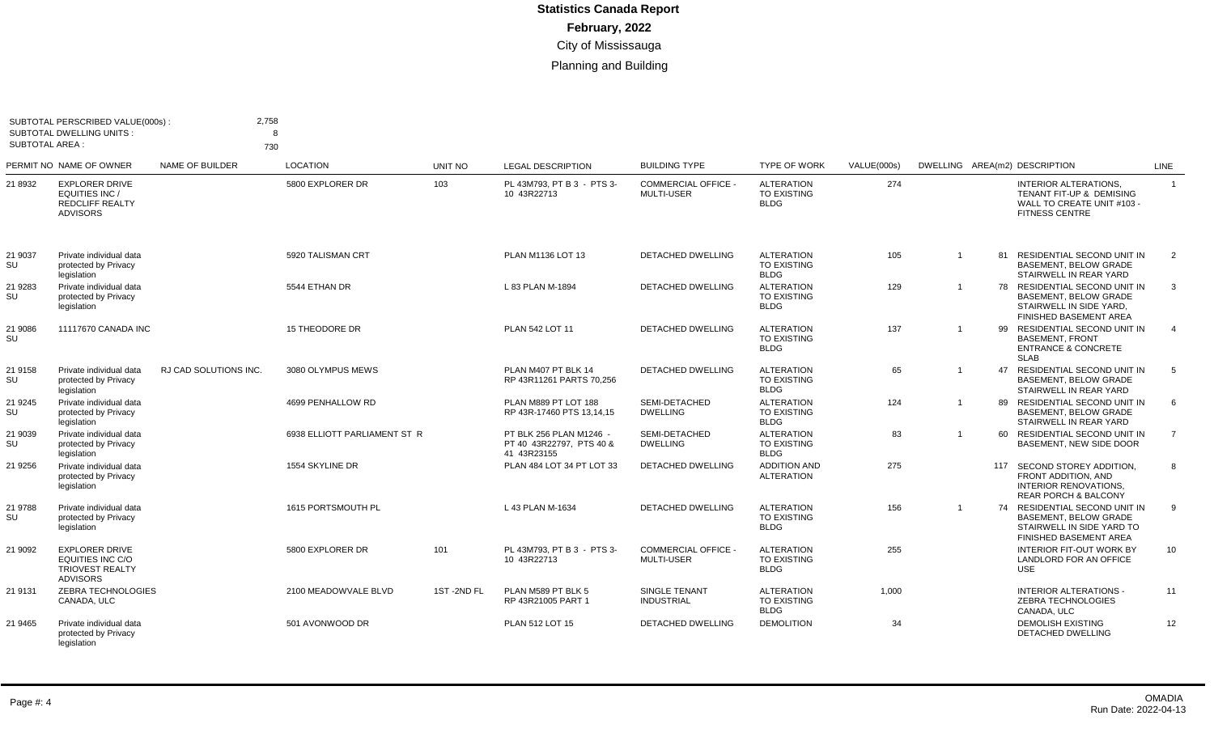| <b>SUBTOTAL AREA:</b> | SUBTOTAL PERSCRIBED VALUE(000s):<br><b>SUBTOTAL DWELLING UNITS:</b>                    | 2,758<br>730                 | 8                            |            |                                                                    |                                                 |                                                        |             |                |                                                                                                                           |                 |
|-----------------------|----------------------------------------------------------------------------------------|------------------------------|------------------------------|------------|--------------------------------------------------------------------|-------------------------------------------------|--------------------------------------------------------|-------------|----------------|---------------------------------------------------------------------------------------------------------------------------|-----------------|
|                       | PERMIT NO NAME OF OWNER                                                                | NAME OF BUILDER              | <b>LOCATION</b>              | UNIT NO    | <b>LEGAL DESCRIPTION</b>                                           | <b>BUILDING TYPE</b>                            | <b>TYPE OF WORK</b>                                    | VALUE(000s) |                | DWELLING AREA(m2) DESCRIPTION                                                                                             | <b>LINE</b>     |
| 21 8932               | <b>EXPLORER DRIVE</b><br>EQUITIES INC /<br><b>REDCLIFF REALTY</b><br><b>ADVISORS</b>   |                              | 5800 EXPLORER DR             | 103        | PL 43M793, PT B 3 - PTS 3-<br>10 43R22713                          | <b>COMMERCIAL OFFICE -</b><br><b>MULTI-USER</b> | <b>ALTERATION</b><br><b>TO EXISTING</b><br><b>BLDG</b> | 274         |                | <b>INTERIOR ALTERATIONS,</b><br>TENANT FIT-UP & DEMISING<br>WALL TO CREATE UNIT #103 -<br><b>FITNESS CENTRE</b>           | $\overline{1}$  |
| 21 9037<br>SU         | Private individual data<br>protected by Privacy<br>legislation                         |                              | 5920 TALISMAN CRT            |            | PLAN M1136 LOT 13                                                  | <b>DETACHED DWELLING</b>                        | <b>ALTERATION</b><br>TO EXISTING<br><b>BLDG</b>        | 105         | $\overline{1}$ | 81 RESIDENTIAL SECOND UNIT IN<br><b>BASEMENT, BELOW GRADE</b><br>STAIRWELL IN REAR YARD                                   | 2               |
| 21 9283<br>SU         | Private individual data<br>protected by Privacy<br>legislation                         |                              | 5544 ETHAN DR                |            | L 83 PLAN M-1894                                                   | <b>DETACHED DWELLING</b>                        | <b>ALTERATION</b><br><b>TO EXISTING</b><br><b>BLDG</b> | 129         | $\overline{1}$ | 78 RESIDENTIAL SECOND UNIT IN<br><b>BASEMENT, BELOW GRADE</b><br>STAIRWELL IN SIDE YARD.<br><b>FINISHED BASEMENT AREA</b> | 3               |
| 21 9086<br>SU         | 11117670 CANADA INC                                                                    |                              | <b>15 THEODORE DR</b>        |            | PLAN 542 LOT 11                                                    | <b>DETACHED DWELLING</b>                        | <b>ALTERATION</b><br><b>TO EXISTING</b><br><b>BLDG</b> | 137         |                | 99 RESIDENTIAL SECOND UNIT IN<br><b>BASEMENT, FRONT</b><br><b>ENTRANCE &amp; CONCRETE</b><br><b>SLAB</b>                  | $\overline{4}$  |
| 21 9158<br>SU         | Private individual data<br>protected by Privacy<br>legislation                         | <b>RJ CAD SOLUTIONS INC.</b> | 3080 OLYMPUS MEWS            |            | PLAN M407 PT BLK 14<br>RP 43R11261 PARTS 70.256                    | <b>DETACHED DWELLING</b>                        | <b>ALTERATION</b><br><b>TO EXISTING</b><br><b>BLDG</b> | 65          | $\mathbf{1}$   | 47 RESIDENTIAL SECOND UNIT IN<br>BASEMENT, BELOW GRADE<br>STAIRWELL IN REAR YARD                                          | 5               |
| 21 9 24 5<br>SU       | Private individual data<br>protected by Privacy<br>legislation                         |                              | 4699 PENHALLOW RD            |            | PLAN M889 PT LOT 188<br>RP 43R-17460 PTS 13,14,15                  | SEMI-DETACHED<br><b>DWELLING</b>                | <b>ALTERATION</b><br><b>TO EXISTING</b><br><b>BLDG</b> | 124         | $\overline{1}$ | 89 RESIDENTIAL SECOND UNIT IN<br><b>BASEMENT, BELOW GRADE</b><br>STAIRWELL IN REAR YARD                                   | 6               |
| 21 9039<br>SU         | Private individual data<br>protected by Privacy<br>legislation                         |                              | 6938 ELLIOTT PARLIAMENT ST R |            | PT BLK 256 PLAN M1246 -<br>PT 40 43R22797. PTS 40 &<br>41 43R23155 | SEMI-DETACHED<br><b>DWELLING</b>                | <b>ALTERATION</b><br><b>TO EXISTING</b><br><b>BLDG</b> | 83          | $\mathbf{1}$   | 60 RESIDENTIAL SECOND UNIT IN<br>BASEMENT. NEW SIDE DOOR                                                                  | $\overline{7}$  |
| 21 9256               | Private individual data<br>protected by Privacy<br>legislation                         |                              | 1554 SKYLINE DR              |            | PLAN 484 LOT 34 PT LOT 33                                          | DETACHED DWELLING                               | <b>ADDITION AND</b><br><b>ALTERATION</b>               | 275         |                | 117 SECOND STOREY ADDITION,<br>FRONT ADDITION. AND<br><b>INTERIOR RENOVATIONS.</b><br><b>REAR PORCH &amp; BALCONY</b>     | 8               |
| 21 9788<br>SU         | Private individual data<br>protected by Privacy<br>legislation                         |                              | 1615 PORTSMOUTH PL           |            | L 43 PLAN M-1634                                                   | <b>DETACHED DWELLING</b>                        | <b>ALTERATION</b><br><b>TO EXISTING</b><br><b>BLDG</b> | 156         | $\overline{1}$ | 74 RESIDENTIAL SECOND UNIT IN<br><b>BASEMENT, BELOW GRADE</b><br>STAIRWELL IN SIDE YARD TO<br>FINISHED BASEMENT AREA      | 9               |
| 21 9092               | <b>EXPLORER DRIVE</b><br>EQUITIES INC C/O<br><b>TRIOVEST REALTY</b><br><b>ADVISORS</b> |                              | 5800 EXPLORER DR             | 101        | PL 43M793, PT B 3 - PTS 3-<br>10 43R22713                          | <b>COMMERCIAL OFFICE -</b><br><b>MULTI-USER</b> | <b>ALTERATION</b><br><b>TO EXISTING</b><br><b>BLDG</b> | 255         |                | <b>INTERIOR FIT-OUT WORK BY</b><br>LANDLORD FOR AN OFFICE<br><b>USE</b>                                                   | 10 <sup>1</sup> |
| 21 9131               | <b>ZEBRA TECHNOLOGIES</b><br>CANADA, ULC                                               |                              | 2100 MEADOWVALE BLVD         | 1ST-2ND FL | PLAN M589 PT BLK 5<br>RP 43R21005 PART 1                           | <b>SINGLE TENANT</b><br><b>INDUSTRIAL</b>       | <b>ALTERATION</b><br><b>TO EXISTING</b><br><b>BLDG</b> | 1,000       |                | <b>INTERIOR ALTERATIONS -</b><br>ZEBRA TECHNOLOGIES<br>CANADA, ULC                                                        | 11              |
| 21 9465               | Private individual data<br>protected by Privacy<br>legislation                         |                              | 501 AVONWOOD DR              |            | PLAN 512 LOT 15                                                    | <b>DETACHED DWELLING</b>                        | <b>DEMOLITION</b>                                      | 34          |                | <b>DEMOLISH EXISTING</b><br><b>DETACHED DWELLING</b>                                                                      | 12              |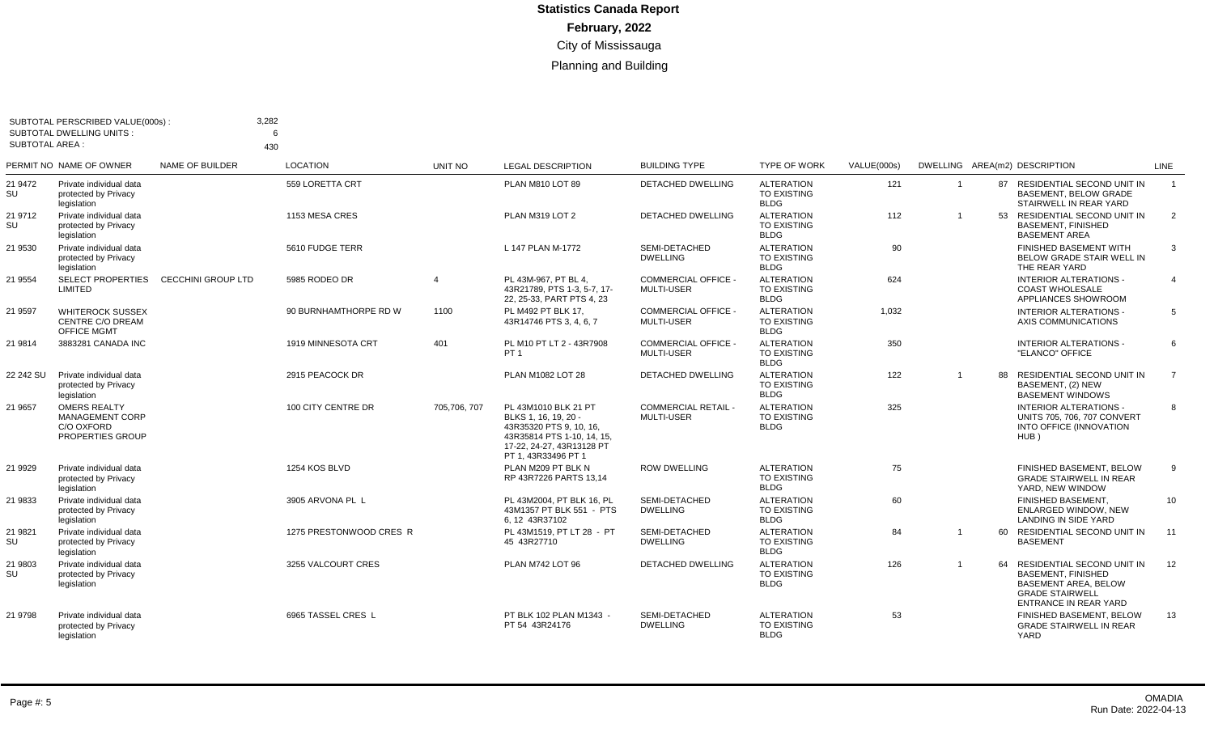| SUBTOTAL AREA : | SUBTOTAL PERSCRIBED VALUE(000s):<br><b>SUBTOTAL DWELLING UNITS:</b>             | 3,282                     | 430                     |                        |                                                                                                                                                         |                                                 |                                                        |                    |                         |    |                                                                                                                                                  |                |
|-----------------|---------------------------------------------------------------------------------|---------------------------|-------------------------|------------------------|---------------------------------------------------------------------------------------------------------------------------------------------------------|-------------------------------------------------|--------------------------------------------------------|--------------------|-------------------------|----|--------------------------------------------------------------------------------------------------------------------------------------------------|----------------|
|                 | PERMIT NO NAME OF OWNER                                                         | <b>NAME OF BUILDER</b>    | <b>LOCATION</b>         | UNIT NO                | <b>LEGAL DESCRIPTION</b>                                                                                                                                | <b>BUILDING TYPE</b>                            | <b>TYPE OF WORK</b>                                    | <b>VALUE(000s)</b> |                         |    | DWELLING AREA(m2) DESCRIPTION                                                                                                                    | LINE           |
| 21 9472<br>SU   | Private individual data<br>protected by Privacy<br>legislation                  |                           | 559 LORETTA CRT         |                        | PLAN M810 LOT 89                                                                                                                                        | <b>DETACHED DWELLING</b>                        | <b>ALTERATION</b><br><b>TO EXISTING</b><br><b>BLDG</b> | 121                | $\overline{\mathbf{1}}$ |    | 87 RESIDENTIAL SECOND UNIT IN<br><b>BASEMENT, BELOW GRADE</b><br>STAIRWELL IN REAR YARD                                                          | $\overline{1}$ |
| 21 9712<br>SU   | Private individual data<br>protected by Privacy<br>legislation                  |                           | 1153 MESA CRES          |                        | PLAN M319 LOT 2                                                                                                                                         | <b>DETACHED DWELLING</b>                        | <b>ALTERATION</b><br><b>TO EXISTING</b><br>BLDG        | 112                |                         |    | 53 RESIDENTIAL SECOND UNIT IN<br><b>BASEMENT, FINISHED</b><br><b>BASEMENT AREA</b>                                                               | 2              |
| 21 9530         | Private individual data<br>protected by Privacy<br>legislation                  |                           | 5610 FUDGE TERR         |                        | L 147 PLAN M-1772                                                                                                                                       | SEMI-DETACHED<br><b>DWELLING</b>                | <b>ALTERATION</b><br><b>TO EXISTING</b><br><b>BLDG</b> | 90                 |                         |    | <b>FINISHED BASEMENT WITH</b><br>BELOW GRADE STAIR WELL IN<br>THE REAR YARD                                                                      | 3              |
| 21 9554         | <b>SELECT PROPERTIES</b><br>LIMITED                                             | <b>CECCHINI GROUP LTD</b> | 5985 RODEO DR           | $\boldsymbol{\Lambda}$ | PL 43M-967. PT BL 4.<br>43R21789, PTS 1-3, 5-7, 17-<br>22, 25-33, PART PTS 4, 23                                                                        | <b>COMMERCIAL OFFICE</b><br>MULTI-USER          | <b>ALTERATION</b><br><b>TO EXISTING</b><br><b>BLDG</b> | 624                |                         |    | <b>INTERIOR ALTERATIONS -</b><br><b>COAST WHOLESALE</b><br>APPLIANCES SHOWROOM                                                                   | $\overline{4}$ |
| 21 9597         | <b>WHITEROCK SUSSEX</b><br>CENTRE C/O DREAM<br><b>OFFICE MGMT</b>               |                           | 90 BURNHAMTHORPE RD W   | 1100                   | PL M492 PT BLK 17.<br>43R14746 PTS 3, 4, 6, 7                                                                                                           | <b>COMMERCIAL OFFICE -</b><br><b>MULTI-USER</b> | <b>ALTERATION</b><br><b>TO EXISTING</b><br><b>BLDG</b> | 1.032              |                         |    | <b>INTERIOR ALTERATIONS -</b><br>AXIS COMMUNICATIONS                                                                                             | 5              |
| 21 9814         | 3883281 CANADA INC                                                              |                           | 1919 MINNESOTA CRT      | 401                    | PL M10 PT LT 2 - 43R7908<br>PT <sub>1</sub>                                                                                                             | <b>COMMERCIAL OFFICE -</b><br><b>MULTI-USER</b> | <b>ALTERATION</b><br><b>TO EXISTING</b><br><b>BLDG</b> | 350                |                         |    | <b>INTERIOR ALTERATIONS -</b><br>"ELANCO" OFFICE                                                                                                 | 6              |
| 22 242 SU       | Private individual data<br>protected by Privacy<br>legislation                  |                           | 2915 PEACOCK DR         |                        | PLAN M1082 LOT 28                                                                                                                                       | <b>DETACHED DWELLING</b>                        | <b>ALTERATION</b><br><b>TO EXISTING</b><br><b>BLDG</b> | 122                | $\overline{1}$          |    | 88 RESIDENTIAL SECOND UNIT IN<br>BASEMENT. (2) NEW<br><b>BASEMENT WINDOWS</b>                                                                    | $\overline{7}$ |
| 21 9657         | <b>OMERS REALTY</b><br><b>MANAGEMENT CORP</b><br>C/O OXFORD<br>PROPERTIES GROUP |                           | 100 CITY CENTRE DR      | 705,706, 707           | PL 43M1010 BLK 21 PT<br>BLKS 1, 16, 19, 20 -<br>43R35320 PTS 9.10.16.<br>43R35814 PTS 1-10, 14, 15,<br>17-22, 24-27, 43R13128 PT<br>PT 1, 43R33496 PT 1 | <b>COMMERCIAL RETAIL -</b><br><b>MULTI-USER</b> | <b>ALTERATION</b><br><b>TO EXISTING</b><br><b>BLDG</b> | 325                |                         |    | <b>INTERIOR ALTERATIONS -</b><br>UNITS 705, 706, 707 CONVERT<br><b>INTO OFFICE (INNOVATION</b><br>HUB)                                           | 8              |
| 21 9929         | Private individual data<br>protected by Privacy<br>legislation                  |                           | 1254 KOS BLVD           |                        | PLAN M209 PT BLK N<br>RP 43R7226 PARTS 13.14                                                                                                            | <b>ROW DWELLING</b>                             | <b>ALTERATION</b><br><b>TO EXISTING</b><br><b>BLDG</b> | 75                 |                         |    | FINISHED BASEMENT, BELOW<br><b>GRADE STAIRWELL IN REAR</b><br>YARD, NEW WINDOW                                                                   | 9              |
| 21 9833         | Private individual data<br>protected by Privacy<br>legislation                  |                           | 3905 ARVONA PL L        |                        | PL 43M2004, PT BLK 16, PL<br>43M1357 PT BLK 551 - PTS<br>6.12 43R37102                                                                                  | SEMI-DETACHED<br><b>DWELLING</b>                | <b>ALTERATION</b><br><b>TO EXISTING</b><br><b>BLDG</b> | 60                 |                         |    | FINISHED BASEMENT,<br><b>ENLARGED WINDOW, NEW</b><br>LANDING IN SIDE YARD                                                                        | 10             |
| 21 9821<br>SU   | Private individual data<br>protected by Privacy<br>legislation                  |                           | 1275 PRESTONWOOD CRES R |                        | PL 43M1519. PT LT 28 - PT<br>45 43R27710                                                                                                                | SEMI-DETACHED<br><b>DWELLING</b>                | <b>ALTERATION</b><br><b>TO EXISTING</b><br><b>BLDG</b> | 84                 |                         |    | 60 RESIDENTIAL SECOND UNIT IN<br><b>BASEMENT</b>                                                                                                 | 11             |
| 21 9803<br>SU   | Private individual data<br>protected by Privacy<br>legislation                  |                           | 3255 VALCOURT CRES      |                        | PLAN M742 LOT 96                                                                                                                                        | <b>DETACHED DWELLING</b>                        | <b>ALTERATION</b><br><b>TO EXISTING</b><br><b>BLDG</b> | 126                | $\overline{1}$          | 64 | RESIDENTIAL SECOND UNIT IN<br><b>BASEMENT, FINISHED</b><br><b>BASEMENT AREA, BELOW</b><br><b>GRADE STAIRWELL</b><br><b>ENTRANCE IN REAR YARD</b> | 12             |
| 21 9798         | Private individual data<br>protected by Privacy<br>legislation                  |                           | 6965 TASSEL CRES L      |                        | PT BLK 102 PLAN M1343 -<br>PT 54 43R24176                                                                                                               | SEMI-DETACHED<br><b>DWELLING</b>                | <b>ALTERATION</b><br><b>TO EXISTING</b><br><b>BLDG</b> | 53                 |                         |    | FINISHED BASEMENT, BELOW<br><b>GRADE STAIRWELL IN REAR</b><br>YARD                                                                               | 13             |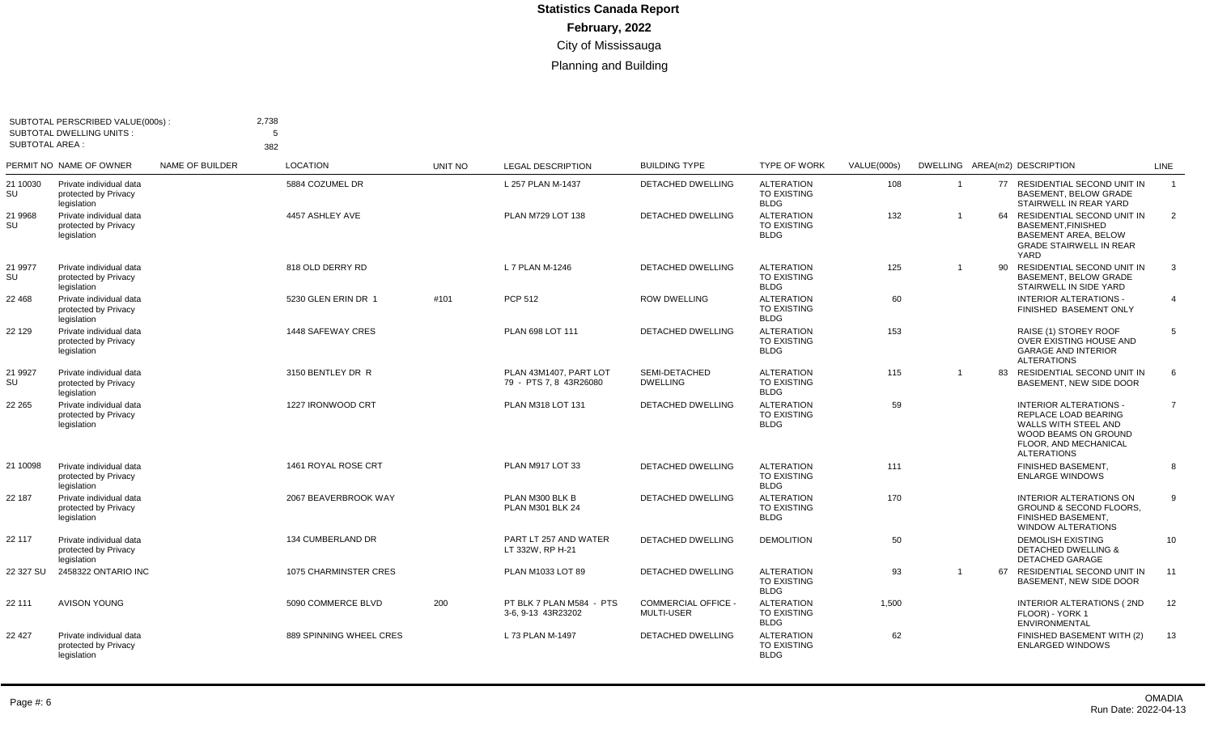| <b>SUBTOTAL AREA:</b> | SUBTOTAL PERSCRIBED VALUE(000s):<br><b>SUBTOTAL DWELLING UNITS:</b> |                 | 2,738<br>5<br>382       |                |                                                  |                                               |                                                        |             |                |    |                                                                                                                                                      |                |
|-----------------------|---------------------------------------------------------------------|-----------------|-------------------------|----------------|--------------------------------------------------|-----------------------------------------------|--------------------------------------------------------|-------------|----------------|----|------------------------------------------------------------------------------------------------------------------------------------------------------|----------------|
|                       | PERMIT NO NAME OF OWNER                                             | NAME OF BUILDER | <b>LOCATION</b>         | <b>UNIT NO</b> | <b>LEGAL DESCRIPTION</b>                         | <b>BUILDING TYPE</b>                          | TYPE OF WORK                                           | VALUE(000s) |                |    | DWELLING AREA(m2) DESCRIPTION                                                                                                                        | <b>LINE</b>    |
| 21 10030<br>SU        | Private individual data<br>protected by Privacy<br>legislation      |                 | 5884 COZUMEL DR         |                | L 257 PLAN M-1437                                | <b>DETACHED DWELLING</b>                      | <b>ALTERATION</b><br><b>TO EXISTING</b><br><b>BLDG</b> | 108         | $\overline{1}$ |    | 77 RESIDENTIAL SECOND UNIT IN<br>BASEMENT, BELOW GRADE<br>STAIRWELL IN REAR YARD                                                                     | $\overline{1}$ |
| 21 9968<br>SU         | Private individual data<br>protected by Privacy<br>legislation      |                 | 4457 ASHLEY AVE         |                | PLAN M729 LOT 138                                | <b>DETACHED DWELLING</b>                      | <b>ALTERATION</b><br><b>TO EXISTING</b><br><b>BLDG</b> | 132         | $\overline{1}$ | 64 | RESIDENTIAL SECOND UNIT IN<br><b>BASEMENT.FINISHED</b><br><b>BASEMENT AREA, BELOW</b><br><b>GRADE STAIRWELL IN REAR</b><br>YARD                      | 2              |
| 21 9977<br>SU         | Private individual data<br>protected by Privacy<br>legislation      |                 | 818 OLD DERRY RD        |                | L 7 PLAN M-1246                                  | <b>DETACHED DWELLING</b>                      | <b>ALTERATION</b><br><b>TO EXISTING</b><br><b>BLDG</b> | 125         | $\overline{1}$ | 90 | RESIDENTIAL SECOND UNIT IN<br><b>BASEMENT, BELOW GRADE</b><br>STAIRWELL IN SIDE YARD                                                                 | 3              |
| 22 468                | Private individual data<br>protected by Privacy<br>legislation      |                 | 5230 GLEN ERIN DR 1     | #101           | PCP 512                                          | <b>ROW DWELLING</b>                           | <b>ALTERATION</b><br><b>TO EXISTING</b><br><b>BLDG</b> | 60          |                |    | <b>INTERIOR ALTERATIONS -</b><br>FINISHED BASEMENT ONLY                                                                                              | $\overline{4}$ |
| 22 129                | Private individual data<br>protected by Privacy<br>legislation      |                 | 1448 SAFEWAY CRES       |                | PLAN 698 LOT 111                                 | DETACHED DWELLING                             | <b>ALTERATION</b><br><b>TO EXISTING</b><br><b>BLDG</b> | 153         |                |    | RAISE (1) STOREY ROOF<br>OVER EXISTING HOUSE AND<br><b>GARAGE AND INTERIOR</b><br><b>ALTERATIONS</b>                                                 | 5              |
| 21 9927<br>SU         | Private individual data<br>protected by Privacy<br>legislation      |                 | 3150 BENTLEY DR R       |                | PLAN 43M1407. PART LOT<br>79 - PTS 7, 8 43R26080 | SEMI-DETACHED<br><b>DWELLING</b>              | <b>ALTERATION</b><br><b>TO EXISTING</b><br><b>BLDG</b> | 115         | $\overline{1}$ | 83 | <b>RESIDENTIAL SECOND UNIT IN</b><br>BASEMENT. NEW SIDE DOOR                                                                                         | 6              |
| 22 265                | Private individual data<br>protected by Privacy<br>legislation      |                 | 1227 IRONWOOD CRT       |                | PLAN M318 LOT 131                                | <b>DETACHED DWELLING</b>                      | <b>ALTERATION</b><br><b>TO EXISTING</b><br><b>BLDG</b> | 59          |                |    | <b>INTERIOR ALTERATIONS -</b><br>REPLACE LOAD BEARING<br>WALLS WITH STEEL AND<br>WOOD BEAMS ON GROUND<br>FLOOR. AND MECHANICAL<br><b>ALTERATIONS</b> | $\overline{7}$ |
| 21 10098              | Private individual data<br>protected by Privacy<br>legislation      |                 | 1461 ROYAL ROSE CRT     |                | PLAN M917 LOT 33                                 | <b>DETACHED DWELLING</b>                      | <b>ALTERATION</b><br><b>TO EXISTING</b><br><b>BLDG</b> | 111         |                |    | FINISHED BASEMENT.<br><b>ENLARGE WINDOWS</b>                                                                                                         | 8              |
| 22 187                | Private individual data<br>protected by Privacy<br>legislation      |                 | 2067 BEAVERBROOK WAY    |                | PLAN M300 BLK B<br>PLAN M301 BLK 24              | <b>DETACHED DWELLING</b>                      | <b>ALTERATION</b><br><b>TO EXISTING</b><br><b>BLDG</b> | 170         |                |    | <b>INTERIOR ALTERATIONS ON</b><br><b>GROUND &amp; SECOND FLOORS,</b><br>FINISHED BASEMENT.<br>WINDOW ALTERATIONS                                     | 9              |
| 22 117                | Private individual data<br>protected by Privacy<br>legislation      |                 | 134 CUMBERLAND DR       |                | PART LT 257 AND WATER<br>LT 332W, RP H-21        | <b>DETACHED DWELLING</b>                      | <b>DEMOLITION</b>                                      | 50          |                |    | <b>DEMOLISH EXISTING</b><br><b>DETACHED DWELLING &amp;</b><br><b>DETACHED GARAGE</b>                                                                 | 10             |
| 22 327 SU             | 2458322 ONTARIO INC                                                 |                 | 1075 CHARMINSTER CRES   |                | PLAN M1033 LOT 89                                | <b>DETACHED DWELLING</b>                      | <b>ALTERATION</b><br>TO EXISTING<br><b>BLDG</b>        | 93          | $\overline{1}$ | 67 | RESIDENTIAL SECOND UNIT IN<br>BASEMENT, NEW SIDE DOOR                                                                                                | 11             |
| 22 111                | <b>AVISON YOUNG</b>                                                 |                 | 5090 COMMERCE BLVD      | 200            | PT BLK 7 PLAN M584 - PTS<br>3-6, 9-13 43R23202   | <b>COMMERCIAL OFFICE</b><br><b>MULTI-USER</b> | <b>ALTERATION</b><br><b>TO EXISTING</b><br><b>BLDG</b> | 1.500       |                |    | <b>INTERIOR ALTERATIONS (2ND</b><br>FLOOR) - YORK 1<br>ENVIRONMENTAL                                                                                 | 12             |
| 22 427                | Private individual data<br>protected by Privacy<br>legislation      |                 | 889 SPINNING WHEEL CRES |                | L 73 PLAN M-1497                                 | <b>DETACHED DWELLING</b>                      | <b>ALTERATION</b><br><b>TO EXISTING</b><br><b>BLDG</b> | 62          |                |    | FINISHED BASEMENT WITH (2)<br><b>ENLARGED WINDOWS</b>                                                                                                | 13             |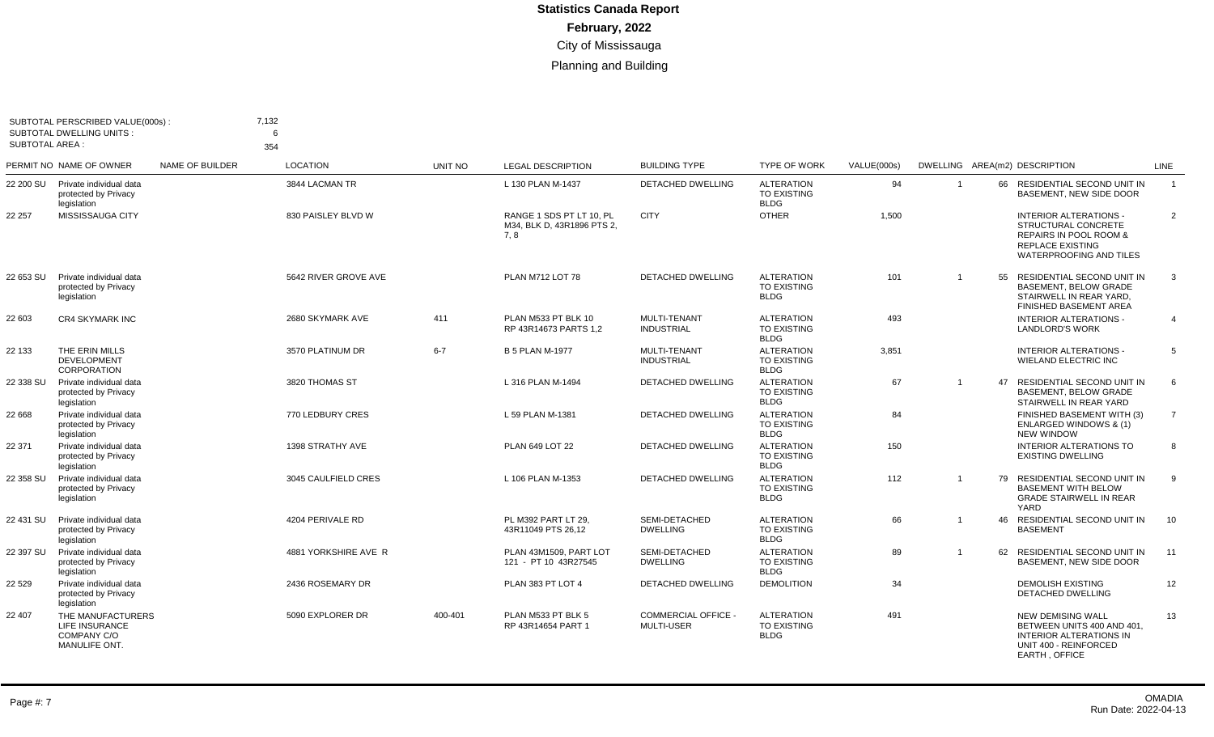|                       | SUBTOTAL PERSCRIBED VALUE(000s):<br><b>SUBTOTAL DWELLING UNITS:</b> |                 | 7,132<br>6             |                |                                                               |                                               |                                                        |             |                |    |                                                                                                                                                        |                |
|-----------------------|---------------------------------------------------------------------|-----------------|------------------------|----------------|---------------------------------------------------------------|-----------------------------------------------|--------------------------------------------------------|-------------|----------------|----|--------------------------------------------------------------------------------------------------------------------------------------------------------|----------------|
| <b>SUBTOTAL AREA:</b> | PERMIT NO NAME OF OWNER                                             | NAME OF BUILDER | 354<br><b>LOCATION</b> | <b>UNIT NO</b> | <b>LEGAL DESCRIPTION</b>                                      | <b>BUILDING TYPE</b>                          | <b>TYPE OF WORK</b>                                    | VALUE(000s) |                |    | DWELLING AREA(m2) DESCRIPTION                                                                                                                          | LINE           |
| 22 200 SU             | Private individual data<br>protected by Privacy<br>legislation      |                 | 3844 LACMAN TR         |                | L 130 PLAN M-1437                                             | <b>DETACHED DWELLING</b>                      | <b>ALTERATION</b><br><b>TO EXISTING</b><br><b>BLDG</b> | 94          |                |    | 66 RESIDENTIAL SECOND UNIT IN<br>BASEMENT, NEW SIDE DOOR                                                                                               | $\overline{1}$ |
| 22 257                | MISSISSAUGA CITY                                                    |                 | 830 PAISLEY BLVD W     |                | RANGE 1 SDS PT LT 10, PL<br>M34, BLK D, 43R1896 PTS 2,<br>7.8 | <b>CITY</b>                                   | <b>OTHER</b>                                           | 1,500       |                |    | <b>INTERIOR ALTERATIONS -</b><br><b>STRUCTURAL CONCRETE</b><br><b>REPAIRS IN POOL ROOM &amp;</b><br><b>REPLACE EXISTING</b><br>WATERPROOFING AND TILES | $\overline{2}$ |
| 22 653 SU             | Private individual data<br>protected by Privacy<br>legislation      |                 | 5642 RIVER GROVE AVE   |                | PLAN M712 LOT 78                                              | DETACHED DWELLING                             | <b>ALTERATION</b><br>TO EXISTING<br><b>BLDG</b>        | 101         | $\overline{1}$ | 55 | RESIDENTIAL SECOND UNIT IN<br><b>BASEMENT, BELOW GRADE</b><br>STAIRWELL IN REAR YARD.<br><b>FINISHED BASEMENT AREA</b>                                 | 3              |
| 22 603                | <b>CR4 SKYMARK INC</b>                                              |                 | 2680 SKYMARK AVE       | 411            | PLAN M533 PT BLK 10<br>RP 43R14673 PARTS 1,2                  | MULTI-TENANT<br><b>INDUSTRIAL</b>             | <b>ALTERATION</b><br>TO EXISTING<br><b>BLDG</b>        | 493         |                |    | <b>INTERIOR ALTERATIONS -</b><br><b>LANDLORD'S WORK</b>                                                                                                | $\overline{4}$ |
| 22 133                | THE ERIN MILLS<br><b>DEVELOPMENT</b><br>CORPORATION                 |                 | 3570 PLATINUM DR       | $6 - 7$        | <b>B 5 PLAN M-1977</b>                                        | <b>MULTI-TENANT</b><br><b>INDUSTRIAL</b>      | <b>ALTERATION</b><br>TO EXISTING<br><b>BLDG</b>        | 3,851       |                |    | <b>INTERIOR ALTERATIONS -</b><br><b>WIELAND ELECTRIC INC</b>                                                                                           | 5              |
| 22 338 SU             | Private individual data<br>protected by Privacy<br>legislation      |                 | 3820 THOMAS ST         |                | L 316 PLAN M-1494                                             | <b>DETACHED DWELLING</b>                      | <b>ALTERATION</b><br>TO EXISTING<br><b>BLDG</b>        | 67          | $\overline{1}$ | 47 | RESIDENTIAL SECOND UNIT IN<br><b>BASEMENT, BELOW GRADE</b><br>STAIRWELL IN REAR YARD                                                                   | -6             |
| 22 668                | Private individual data<br>protected by Privacy<br>legislation      |                 | 770 LEDBURY CRES       |                | L 59 PLAN M-1381                                              | <b>DETACHED DWELLING</b>                      | <b>ALTERATION</b><br>TO EXISTING<br><b>BLDG</b>        | 84          |                |    | FINISHED BASEMENT WITH (3)<br>ENLARGED WINDOWS & (1)<br><b>NEW WINDOW</b>                                                                              | $\overline{7}$ |
| 22 371                | Private individual data<br>protected by Privacy<br>legislation      |                 | 1398 STRATHY AVE       |                | PLAN 649 LOT 22                                               | <b>DETACHED DWELLING</b>                      | <b>ALTERATION</b><br><b>TO EXISTING</b><br><b>BLDG</b> | 150         |                |    | <b>INTERIOR ALTERATIONS TO</b><br><b>EXISTING DWELLING</b>                                                                                             | 8              |
| 22 358 SU             | Private individual data<br>protected by Privacy<br>legislation      |                 | 3045 CAULFIELD CRES    |                | L 106 PLAN M-1353                                             | <b>DETACHED DWELLING</b>                      | <b>ALTERATION</b><br>TO EXISTING<br><b>BLDG</b>        | 112         | $\overline{1}$ | 79 | RESIDENTIAL SECOND UNIT IN<br><b>BASEMENT WITH BELOW</b><br><b>GRADE STAIRWELL IN REAR</b><br>YARD                                                     | -9             |
| 22 431 SU             | Private individual data<br>protected by Privacy<br>legislation      |                 | 4204 PERIVALE RD       |                | PL M392 PART LT 29.<br>43R11049 PTS 26,12                     | SEMI-DETACHED<br><b>DWELLING</b>              | <b>ALTERATION</b><br><b>TO EXISTING</b><br><b>BLDG</b> | 66          | $\overline{1}$ |    | 46 RESIDENTIAL SECOND UNIT IN<br><b>BASEMENT</b>                                                                                                       | 10             |
| 22 397 SU             | Private individual data<br>protected by Privacy<br>legislation      |                 | 4881 YORKSHIRE AVE R   |                | PLAN 43M1509. PART LOT<br>121 - PT 10 43R27545                | SEMI-DETACHED<br><b>DWELLING</b>              | <b>ALTERATION</b><br>TO EXISTING<br><b>BLDG</b>        | 89          | $\overline{1}$ | 62 | RESIDENTIAL SECOND UNIT IN<br>BASEMENT, NEW SIDE DOOR                                                                                                  | 11             |
| 22 5 29               | Private individual data<br>protected by Privacy<br>legislation      |                 | 2436 ROSEMARY DR       |                | PLAN 383 PT LOT 4                                             | <b>DETACHED DWELLING</b>                      | <b>DEMOLITION</b>                                      | 34          |                |    | <b>DEMOLISH EXISTING</b><br>DETACHED DWELLING                                                                                                          | 12             |
| 22 407                | THE MANUFACTURERS<br>LIFE INSURANCE<br>COMPANY C/O<br>MANULIFE ONT. |                 | 5090 EXPLORER DR       | 400-401        | PLAN M533 PT BLK 5<br>RP 43R14654 PART 1                      | <b>COMMERCIAL OFFICE</b><br><b>MULTI-USER</b> | <b>ALTERATION</b><br>TO EXISTING<br><b>BLDG</b>        | 491         |                |    | <b>NEW DEMISING WALL</b><br>BETWEEN UNITS 400 AND 401,<br>INTERIOR ALTERATIONS IN<br>UNIT 400 - REINFORCED<br>EARTH, OFFICE                            | 13             |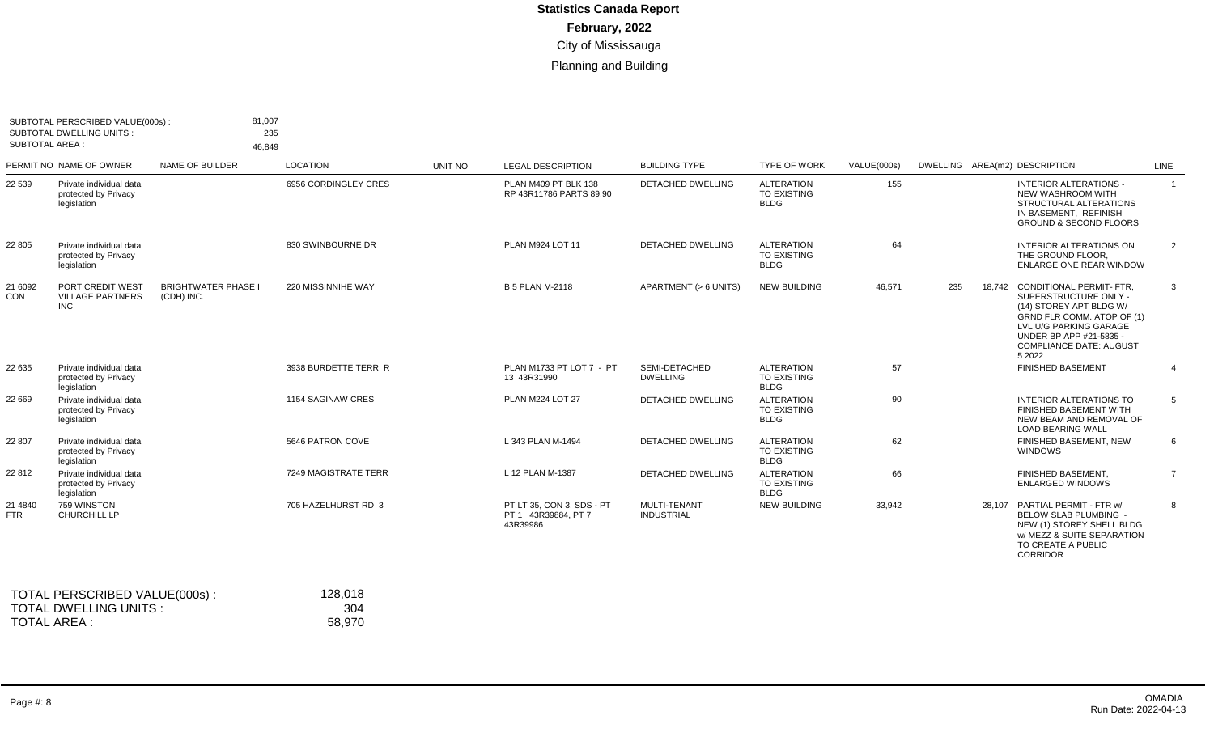|                          | SUBTOTAL PERSCRIBED VALUE(000s):<br><b>SUBTOTAL DWELLING UNITS:</b><br><b>SUBTOTAL AREA:</b> |                                          | 81,007<br>235<br>46,849 |         |                                                              |                                   |                                                        |             |                               |                                                                                                                                                                                                                    |                |
|--------------------------|----------------------------------------------------------------------------------------------|------------------------------------------|-------------------------|---------|--------------------------------------------------------------|-----------------------------------|--------------------------------------------------------|-------------|-------------------------------|--------------------------------------------------------------------------------------------------------------------------------------------------------------------------------------------------------------------|----------------|
|                          | PERMIT NO NAME OF OWNER                                                                      | NAME OF BUILDER                          | <b>LOCATION</b>         | UNIT NO | <b>LEGAL DESCRIPTION</b>                                     | <b>BUILDING TYPE</b>              | <b>TYPE OF WORK</b>                                    | VALUE(000s) | DWELLING AREA(m2) DESCRIPTION |                                                                                                                                                                                                                    | LINE           |
| 22 539                   | Private individual data<br>protected by Privacy<br>legislation                               |                                          | 6956 CORDINGLEY CRES    |         | PLAN M409 PT BLK 138<br>RP 43R11786 PARTS 89.90              | DETACHED DWELLING                 | <b>ALTERATION</b><br>TO EXISTING<br><b>BLDG</b>        | 155         |                               | <b>INTERIOR ALTERATIONS -</b><br>NEW WASHROOM WITH<br>STRUCTURAL ALTERATIONS<br>IN BASEMENT, REFINISH<br><b>GROUND &amp; SECOND FLOORS</b>                                                                         | $\overline{1}$ |
| 22 805                   | Private individual data<br>protected by Privacy<br>legislation                               |                                          | 830 SWINBOURNE DR       |         | PLAN M924 LOT 11                                             | DETACHED DWELLING                 | <b>ALTERATION</b><br>TO EXISTING<br><b>BLDG</b>        | 64          |                               | <b>INTERIOR ALTERATIONS ON</b><br>THE GROUND FLOOR.<br><b>ENLARGE ONE REAR WINDOW</b>                                                                                                                              | $\overline{2}$ |
| 21 6092<br>CON           | PORT CREDIT WEST<br><b>VILLAGE PARTNERS</b><br><b>INC</b>                                    | <b>BRIGHTWATER PHASE I</b><br>(CDH) INC. | 220 MISSINNIHE WAY      |         | <b>B 5 PLAN M-2118</b>                                       | APARTMENT (> 6 UNITS)             | <b>NEW BUILDING</b>                                    | 46,571      | 235                           | 18,742 CONDITIONAL PERMIT- FTR.<br>SUPERSTRUCTURE ONLY -<br>(14) STOREY APT BLDG W/<br>GRND FLR COMM. ATOP OF (1)<br>LVL U/G PARKING GARAGE<br>UNDER BP APP #21-5835 -<br><b>COMPLIANCE DATE: AUGUST</b><br>5 2022 | 3              |
| 22 635                   | Private individual data<br>protected by Privacy<br>legislation                               |                                          | 3938 BURDETTE TERR R    |         | PLAN M1733 PT LOT 7 - PT<br>13 43R31990                      | SEMI-DETACHED<br><b>DWELLING</b>  | <b>ALTERATION</b><br>TO EXISTING<br><b>BLDG</b>        | 57          |                               | <b>FINISHED BASEMENT</b>                                                                                                                                                                                           | $\overline{4}$ |
| 22 669                   | Private individual data<br>protected by Privacy<br>legislation                               |                                          | 1154 SAGINAW CRES       |         | <b>PLAN M224 LOT 27</b>                                      | <b>DETACHED DWELLING</b>          | <b>ALTERATION</b><br><b>TO EXISTING</b><br><b>BLDG</b> | 90          |                               | INTERIOR ALTERATIONS TO<br>FINISHED BASEMENT WITH<br>NEW BEAM AND REMOVAL OF<br><b>LOAD BEARING WALL</b>                                                                                                           | 5              |
| 22 807                   | Private individual data<br>protected by Privacy<br>legislation                               |                                          | 5646 PATRON COVE        |         | L 343 PLAN M-1494                                            | <b>DETACHED DWELLING</b>          | <b>ALTERATION</b><br>TO EXISTING<br><b>BLDG</b>        | 62          |                               | FINISHED BASEMENT, NEW<br><b>WINDOWS</b>                                                                                                                                                                           | 6              |
| 22 812                   | Private individual data<br>protected by Privacy<br>legislation                               |                                          | 7249 MAGISTRATE TERR    |         | L 12 PLAN M-1387                                             | <b>DETACHED DWELLING</b>          | <b>ALTERATION</b><br><b>TO EXISTING</b><br><b>BLDG</b> | 66          |                               | FINISHED BASEMENT.<br><b>ENLARGED WINDOWS</b>                                                                                                                                                                      | $\overline{7}$ |
| 21 4 8 4 0<br><b>FTR</b> | 759 WINSTON<br>CHURCHILL LP                                                                  |                                          | 705 HAZELHURST RD 3     |         | PT LT 35, CON 3, SDS - PT<br>PT 1 43R39884, PT 7<br>43R39986 | MULTI-TENANT<br><b>INDUSTRIAL</b> | <b>NEW BUILDING</b>                                    | 33,942      |                               | 28,107 PARTIAL PERMIT - FTR w/<br>BELOW SLAB PLUMBING -<br>NEW (1) STOREY SHELL BLDG<br>w/ MEZZ & SUITE SEPARATION<br>TO CREATE A PUBLIC<br><b>CORRIDOR</b>                                                        | 8              |

| TOTAL PERSCRIBED VALUE(000s): | 128.018 |
|-------------------------------|---------|
| TOTAL DWELLING UNITS :        | -304    |
| TOTAL AREA :                  | 58.970  |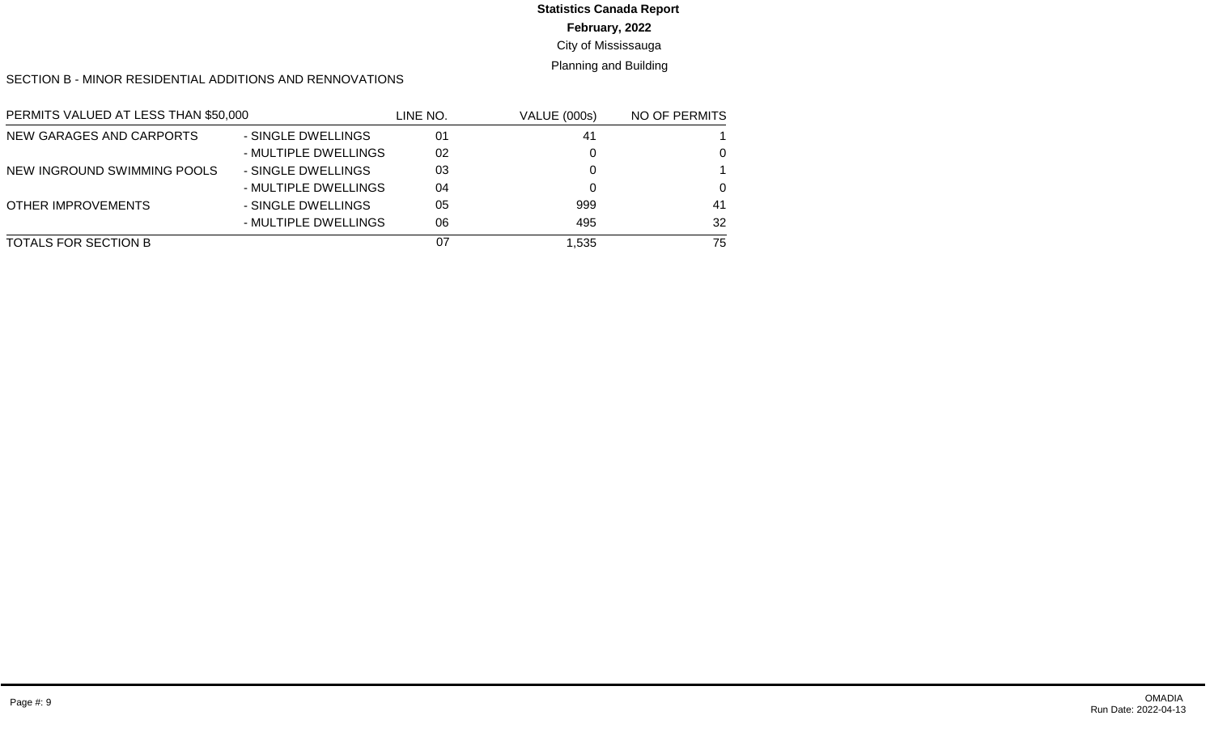# **Statistics Canada Report**

**February, 2022**

City of Mississauga

Planning and Building

SECTION B - MINOR RESIDENTIAL ADDITIONS AND RENNOVATIONS

| PERMITS VALUED AT LESS THAN \$50,000 |                      | LINE NO. | VALUE (000s) | NO OF PERMITS |
|--------------------------------------|----------------------|----------|--------------|---------------|
| NEW GARAGES AND CARPORTS             | - SINGLE DWELLINGS   | 01       | 41           |               |
|                                      | - MULTIPLE DWELLINGS | 02       |              | $\Omega$      |
| NEW INGROUND SWIMMING POOLS          | - SINGLE DWELLINGS   | 03       |              |               |
|                                      | - MULTIPLE DWELLINGS | 04       |              | $\Omega$      |
| OTHER IMPROVEMENTS                   | - SINGLE DWELLINGS   | 05       | 999          | 41            |
|                                      | - MULTIPLE DWELLINGS | 06       | 495          | 32            |
| TOTALS FOR SECTION B                 |                      | 07       | 1.535        | 75            |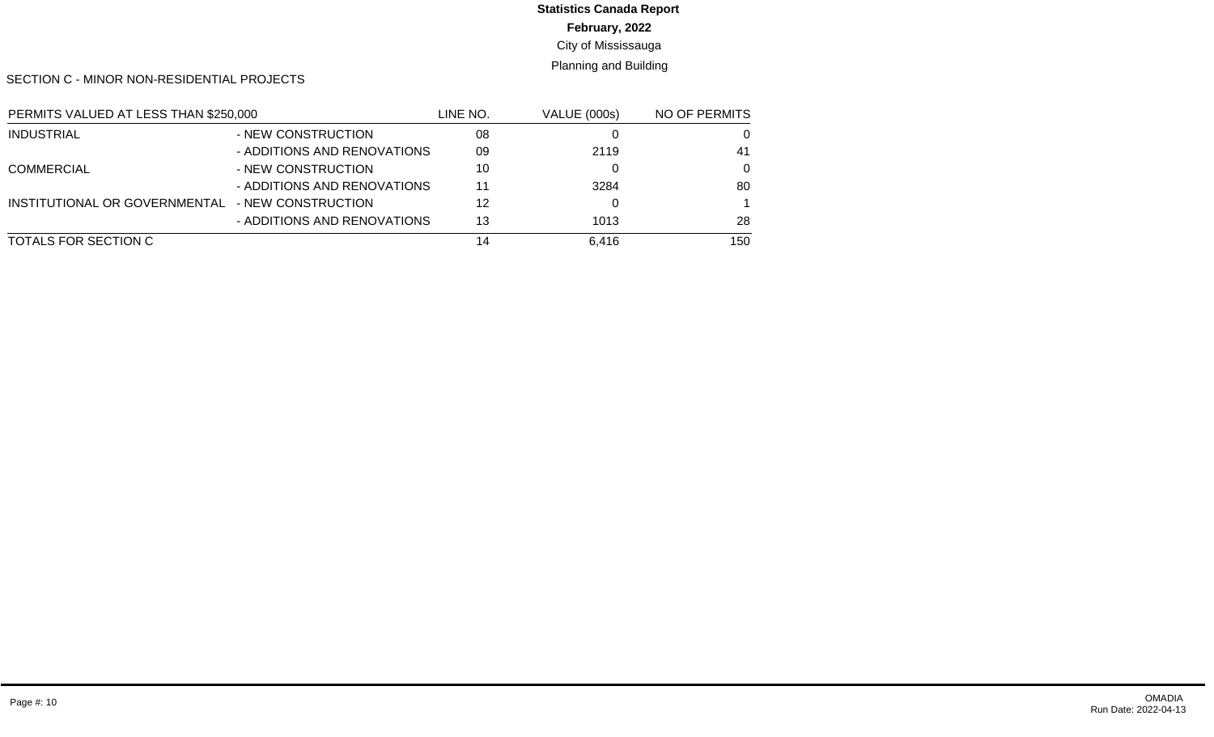## **Statistics Canada Report**

**February, 2022**

City of Mississauga

Planning and Building

SECTION C - MINOR NON-RESIDENTIAL PROJECTS

| PERMITS VALUED AT LESS THAN \$250,000 |                             | LINE NO. | <b>VALUE (000s)</b> | NO OF PERMITS |
|---------------------------------------|-----------------------------|----------|---------------------|---------------|
| <b>INDUSTRIAL</b>                     | - NEW CONSTRUCTION          | 08       |                     | 0             |
|                                       | - ADDITIONS AND RENOVATIONS | 09       | 2119                | 41            |
| <b>COMMERCIAL</b>                     | - NEW CONSTRUCTION          | 10       |                     | $\Omega$      |
|                                       | - ADDITIONS AND RENOVATIONS | 11       | 3284                | 80            |
| INSTITUTIONAL OR GOVERNMENTAL         | - NEW CONSTRUCTION          | 12       |                     |               |
|                                       | - ADDITIONS AND RENOVATIONS | 13       | 1013                | 28            |
| TOTALS FOR SECTION C                  |                             | 14       | 6.416               | 150           |